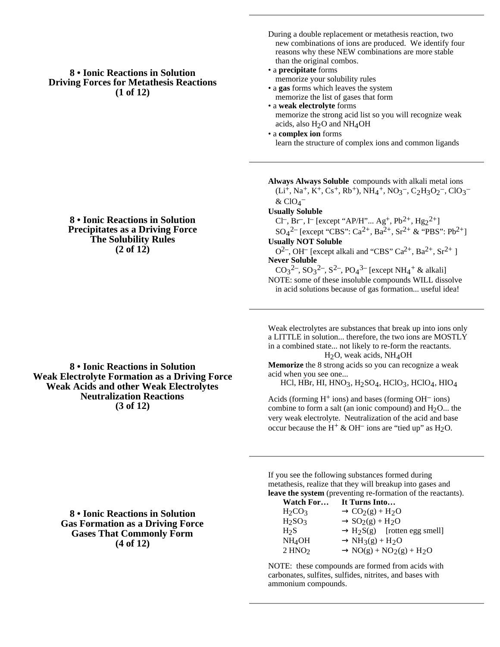## **8 • Ionic Reactions in Solution Driving Forces for Metathesis Reactions (1 of 12)**

- During a double replacement or metathesis reaction, two new combinations of ions are produced. We identify four reasons why these NEW combinations are more stable than the original combos.
- a **precipitate** forms memorize your solubility rules
- a **gas** forms which leaves the system memorize the list of gases that form
- a **weak electrolyte** forms memorize the strong acid list so you will recognize weak acids, also  $H<sub>2</sub>O$  and  $NH<sub>4</sub>OH$
- a **complex ion** forms learn the structure of complex ions and common ligands

**Always Always Soluble** compounds with alkali metal ions  $(L<sup>i</sup>$ , Na<sup>+</sup>, K<sup>+</sup>, Cs<sup>+</sup>, Rb<sup>+</sup>), NH<sub>4</sub><sup>+</sup>, NO<sub>3</sub><sup>-</sup>, C<sub>2</sub>H<sub>3</sub>O<sub>2</sub><sup>-</sup>, ClO<sub>3</sub><sup>-</sup>  $&$  ClO<sub>4</sub><sup>-</sup> **Usually Soluble** Cl<sup>-</sup>, Br<sup>-</sup>, I<sup>-</sup> [except "AP/H"... Ag<sup>+</sup>, Pb<sup>2+</sup>, Hg<sub>2</sub><sup>2+</sup>]  $SO_4^2$  [except "CBS": Ca<sup>2+</sup>, Ba<sup>2+</sup>, Sr<sup>2+</sup> & "PBS": Pb<sup>2+</sup>] **Usually NOT Soluble**  $O^{2-}$ , OH<sup>-</sup> [except alkali and "CBS" Ca<sup>2+</sup>, Ba<sup>2+</sup>, Sr<sup>2+</sup> ] **Never Soluble**  $CO_3^2$ –,  $SO_3^2$ –,  $S^2$ –,  $PO_4^3$ – [except NH<sub>4</sub><sup>+</sup> & alkali] NOTE: some of these insoluble compounds WILL dissolve in acid solutions because of gas formation... useful idea!

Weak electrolytes are substances that break up into ions only a LITTLE in solution... therefore, the two ions are MOSTLY in a combined state... not likely to re-form the reactants. H2O, weak acids, NH4OH

**Memorize** the 8 strong acids so you can recognize a weak acid when you see one...

HCl, HBr, HI, HNO3, H2SO4, HClO3, HClO4, HIO4

Acids (forming  $H^+$  ions) and bases (forming  $OH^-$  ions) combine to form a salt (an ionic compound) and  $H_2O$ ... the very weak electrolyte. Neutralization of the acid and base occur because the H<sup>+</sup> & OH<sup>-</sup> ions are "tied up" as H<sub>2</sub>O.

If you see the following substances formed during metathesis, realize that they will breakup into gases and **leave the system** (preventing re-formation of the reactants).<br> **Watch Fan If** Turns Inte

| Watch For          | It Turns Into                |
|--------------------|------------------------------|
| $H_2CO_3$          | $CO2(g) + H2O$               |
| $H_2SO_3$          | $SO_2(g) + H_2O$             |
| H <sub>2</sub> S   | $H_2S(g)$ [rotten egg smell] |
| NH <sub>4</sub> OH | $NH_3(g) + H_2O$             |
| 2 HNO <sub>2</sub> | $NO(g) + NO_2(g) + H_2O$     |

NOTE: these compounds are formed from acids with carbonates, sulfites, sulfides, nitrites, and bases with ammonium compounds.

**8 • Ionic Reactions in Solution Precipitates as a Driving Force The Solubility Rules (2 of 12)**

**8 • Ionic Reactions in Solution Weak Electrolyte Formation as a Driving Force Weak Acids and other Weak Electrolytes Neutralization Reactions (3 of 12)**

> **8 • Ionic Reactions in Solution Gas Formation as a Driving Force Gases That Commonly Form (4 of 12)**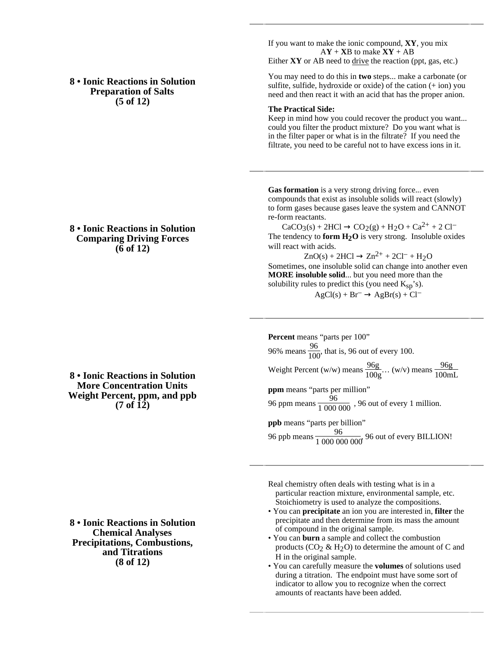**8 • Ionic Reactions in Solution Preparation of Salts (5 of 12)**

If you want to make the ionic compound, **XY**, you mix  $AY + XB$  to make  $XY + AB$ Either **XY** or AB need to drive the reaction (ppt, gas, etc.)

You may need to do this in **two** steps... make a carbonate (or sulfite, sulfide, hydroxide or oxide) of the cation (+ ion) you need and then react it with an acid that has the proper anion.

## **The Practical Side:**

Keep in mind how you could recover the product you want... could you filter the product mixture? Do you want what is in the filter paper or what is in the filtrate? If you need the filtrate, you need to be careful not to have excess ions in it.

Gas formation is a very strong driving force... even compounds that exist as insoluble solids will react (slowly) to form gases because gases leave the system and CANNOT re-form reactants.

 $CaCO<sub>3</sub>(s) + 2HCl$   $CO<sub>2</sub>(g) + H<sub>2</sub>O + Ca<sup>2+</sup> + 2 Cl<sup>-</sup>$ The tendency to **form**  $H_2O$  is very strong. Insoluble oxides will react with acids.

 $ZnO(s) + 2HCl$   $Zn^{2+} + 2Cl^- + H_2O$ Sometimes, one insoluble solid can change into another even **MORE insoluble solid**... but you need more than the solubility rules to predict this (you need  $K_{\rm SD}$ 's).

 $AgCl(s) + Br^ AgBr(s) + Cl^-$ 

**Percent** means "parts per 100" 96% means  $\frac{96}{100}$ , that is, 96 out of every 100. Weight Percent (w/w) means  $\frac{96g}{100g}$ ... (w/v) means  $\frac{96g}{100mL}$ **ppm** means "parts per million" 96 ppm means  $\frac{96}{1000000}$ , 96 out of every 1 million. **ppb** means "parts per billion"

96 ppb means  $\frac{96}{100000000}$  96 out of every BILLION!

Real chemistry often deals with testing what is in a particular reaction mixture, environmental sample, etc. Stoichiometry is used to analyze the compositions.

- You can **precipitate** an ion you are interested in, **filter** the precipitate and then determine from its mass the amount of compound in the original sample.
- You can **burn** a sample and collect the combustion products ( $CO<sub>2</sub> \& H<sub>2</sub>O$ ) to determine the amount of C and H in the original sample.
- You can carefully measure the **volumes** of solutions used during a titration. The endpoint must have some sort of indicator to allow you to recognize when the correct amounts of reactants have been added.

**8 • Ionic Reactions in Solution Comparing Driving Forces (6 of 12)**

**8 • Ionic Reactions in Solution More Concentration Units Weight Percent, ppm, and ppb (7 of 12)**

**8 • Ionic Reactions in Solution Chemical Analyses Precipitations, Combustions, and Titrations (8 of 12)**